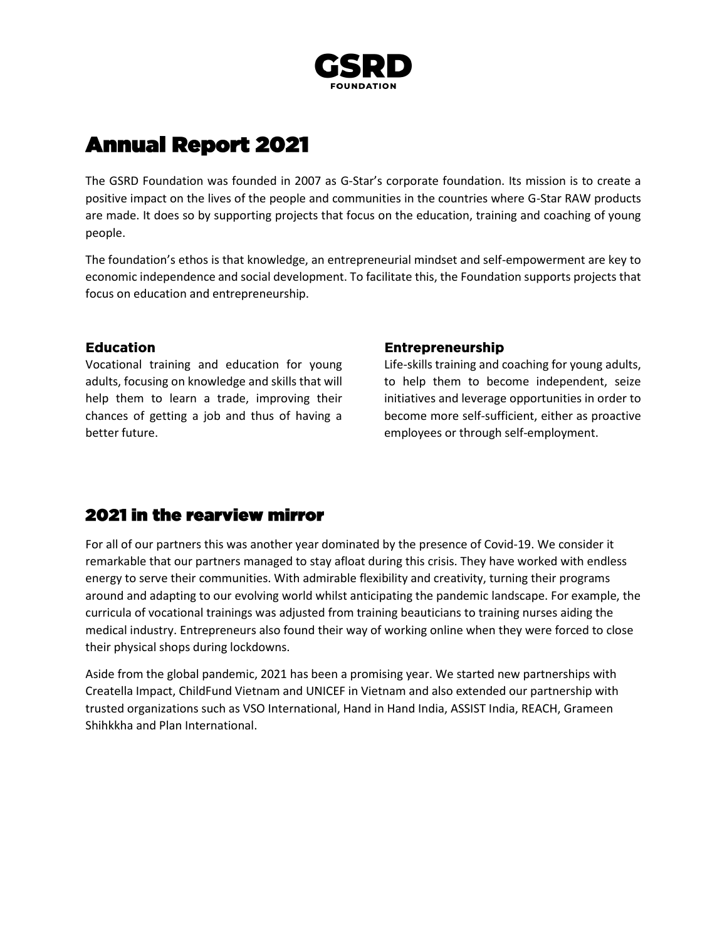

# **Annual Report 2021**

The [GSRD Foundation](https://www.g-star.com/rawresponsibility/philantrophy) was founded in 2007 as G-Star's corporate foundation. Its mission is to create a positive impact on the lives of the people and communities in the countries where G-Star RAW products are made. It does so by supporting projects that focus on the education, training and coaching of young people.

The foundation's ethos is that knowledge, an entrepreneurial mindset and self-empowerment are key to economic independence and social development. To facilitate this, the Foundation supports projects that focus on education and entrepreneurship.

### **Education**

Vocational training and education for young adults, focusing on knowledge and skills that will help them to learn a trade, improving their chances of getting a job and thus of having a better future.

### **Entrepreneurship**

Life-skills training and coaching for young adults, to help them to become independent, seize initiatives and leverage opportunities in order to become more self-sufficient, either as proactive employees or through self-employment.

## **2021 in the rearview mirror**

For all of our partners this was another year dominated by the presence of Covid-19. We consider it remarkable that our partners managed to stay afloat during this crisis. They have worked with endless energy to serve their communities. With admirable flexibility and creativity, turning their programs around and adapting to our evolving world whilst anticipating the pandemic landscape. For example, the curricula of vocational trainings was adjusted from training beauticians to training nurses aiding the medical industry. Entrepreneurs also found their way of working online when they were forced to close their physical shops during lockdowns.

Aside from the global pandemic, 2021 has been a promising year. We started new partnerships with Creatella Impact, ChildFund Vietnam and UNICEF in Vietnam and also extended our partnership with trusted organizations such as VSO International, Hand in Hand India, ASSIST India, REACH, Grameen Shihkkha and Plan International.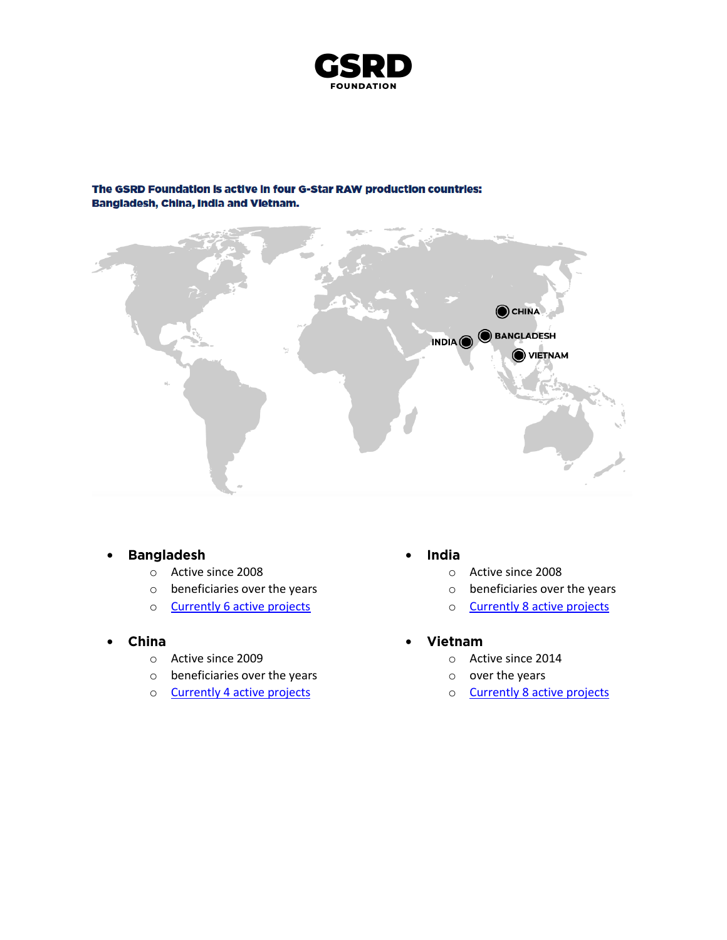

# CHINA INDIA O BANGLADESH  $\bullet$  vietnam

### The GSRD Foundation is active in four G-Star RAW production countries: Bangladesh, China, India and Vietnam.

#### **Bangladesh** •

- o Active since 2008
- o beneficiaries over the years
- o **[Currently 6 active projects](https://gsrd.com/bangladesh/)**
- China •
	- o Active since 2009
	- o beneficiaries over the years
	- o Currently 4 [active projects](https://gsrd.com/china/)
- India •
	- o Active since 2008
	- o beneficiaries over the years
	- o Currently 8 [active projects](https://gsrd.com/india/)
- Vietnam •
	- o Active since 2014
	- o over the years
	- o Currently 8 [active projects](https://gsrd.com/vietnam/)